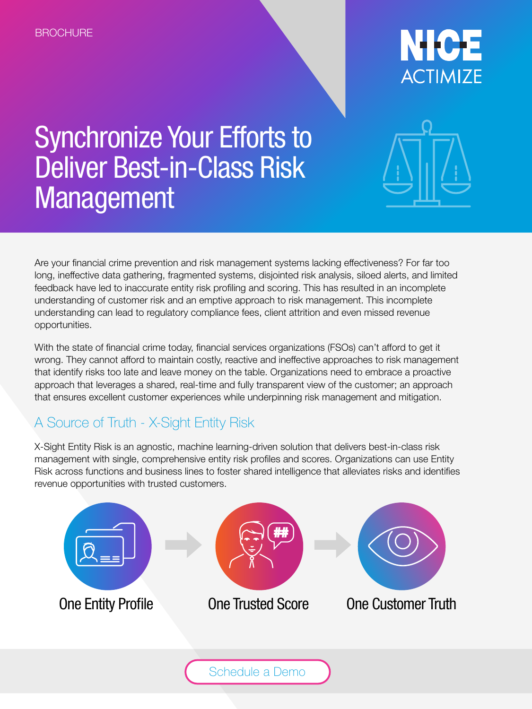

# Synchronize Your Efforts to Deliver Best-in-Class Risk Management



Are your financial crime prevention and risk management systems lacking effectiveness? For far too long, ineffective data gathering, fragmented systems, disjointed risk analysis, siloed alerts, and limited feedback have led to inaccurate entity risk profiling and scoring. This has resulted in an incomplete understanding of customer risk and an emptive approach to risk management. This incomplete understanding can lead to regulatory compliance fees, client attrition and even missed revenue opportunities.

With the state of financial crime today, financial services organizations (FSOs) can't afford to get it wrong. They cannot afford to maintain costly, reactive and ineffective approaches to risk management that identify risks too late and leave money on the table. Organizations need to embrace a proactive approach that leverages a shared, real-time and fully transparent view of the customer; an approach that ensures excellent customer experiences while underpinning risk management and mitigation.

## A Source of Truth - X-Sight Entity Risk

X-Sight Entity Risk is an agnostic, machine learning-driven solution that delivers best-in-class risk management with single, comprehensive entity risk profiles and scores. Organizations can use Entity Risk across functions and business lines to foster shared intelligence that alleviates risks and identifies revenue opportunities with trusted customers.

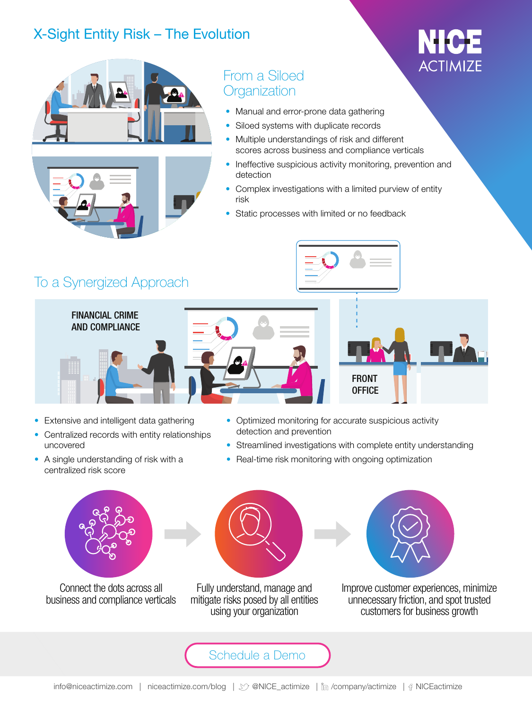### X-Sight Entity Risk – The Evolution



### From a Siloed **Organization**

- Manual and error-prone data gathering
- Siloed systems with duplicate records
- Multiple understandings of risk and different scores across business and compliance verticals
- Ineffective suspicious activity monitoring, prevention and detection
- Complex investigations with a limited purview of entity risk
- Static processes with limited or no feedback



FINANCIAL CRIME AND COMPLIANCE





ACTIMIZE

- Extensive and intelligent data gathering
- Centralized records with entity relationships uncovered
- A single understanding of risk with a centralized risk score
- Optimized monitoring for accurate suspicious activity detection and prevention
- Streamlined investigations with complete entity understanding
- Real-time risk monitoring with ongoing optimization



Connect the dots across all business and compliance verticals



Fully understand, manage and mitigate risks posed by all entities using your organization



Improve customer experiences, minimize unnecessary friction, and spot trusted customers for business growth

[Schedule a Demo](https://actimize.nice.com/amldemo)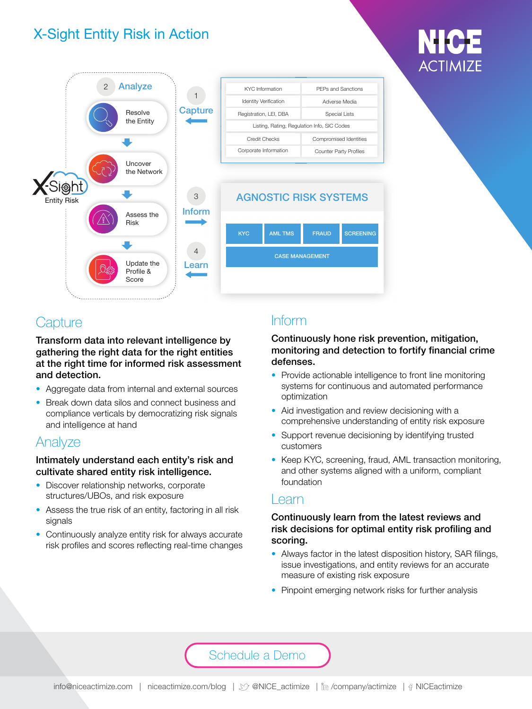## X-Sight Entity Risk in Action



### **Capture**

Transform data into relevant intelligence by gathering the right data for the right entities at the right time for informed risk assessment and detection.

- Aggregate data from internal and external sources
- Break down data silos and connect business and compliance verticals by democratizing risk signals and intelligence at hand

### Analyze

#### Intimately understand each entity's risk and cultivate shared entity risk intelligence.

- Discover relationship networks, corporate structures/UBOs, and risk exposure
- Assess the true risk of an entity, factoring in all risk signals
- Continuously analyze entity risk for always accurate risk profiles and scores reflecting real-time changes

### Inform

#### Continuously hone risk prevention, mitigation, monitoring and detection to fortify financial crime defenses.

- Provide actionable intelligence to front line monitoring systems for continuous and automated performance optimization
- Aid investigation and review decisioning with a comprehensive understanding of entity risk exposure
- Support revenue decisioning by identifying trusted customers
- Keep KYC, screening, fraud, AML transaction monitoring, and other systems aligned with a uniform, compliant foundation

### Learn

### Continuously learn from the latest reviews and risk decisions for optimal entity risk profiling and scoring.

- Always factor in the latest disposition history, SAR filings, issue investigations, and entity reviews for an accurate measure of existing risk exposure
- Pinpoint emerging network risks for further analysis

### [Schedule a Demo](https://actimize.nice.com/amldemo)